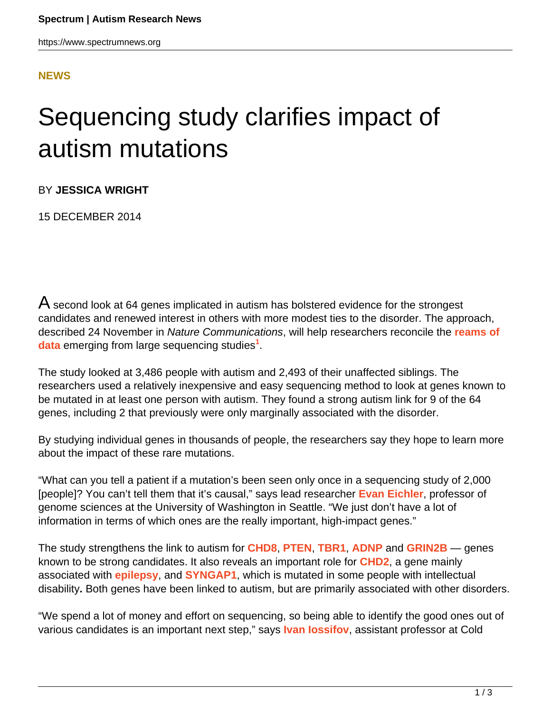## **[NEWS](HTTPS://WWW.SPECTRUMNEWS.ORG/NEWS/)**

## Sequencing study clarifies impact of autism mutations

BY **JESSICA WRIGHT**

15 DECEMBER 2014

 $\bm{\mathsf{A}}$  second look at 64 genes implicated in autism has bolstered evidence for the strongest candidates and renewed interest in others with more modest ties to the disorder. The approach, described 24 November in Nature Communications, will help researchers reconcile the **[reams of](https://www.spectrumnews.org/news/2014/massive-sequencing-studies-reveal-key-autism-genes) [data](https://www.spectrumnews.org/news/2014/massive-sequencing-studies-reveal-key-autism-genes)** emerging from large sequencing studies**<sup>1</sup>** .

The study looked at 3,486 people with autism and 2,493 of their unaffected siblings. The researchers used a relatively inexpensive and easy sequencing method to look at genes known to be mutated in at least one person with autism. They found a strong autism link for 9 of the 64 genes, including 2 that previously were only marginally associated with the disorder.

By studying individual genes in thousands of people, the researchers say they hope to learn more about the impact of these rare mutations.

"What can you tell a patient if a mutation's been seen only once in a sequencing study of 2,000 [people]? You can't tell them that it's causal," says lead researcher **[Evan Eichler](https://www.spectrumnews.org/investigator-profiles/2010/evan-eichler-following-his-instincts-to-autism-hotspots)**, professor of genome sciences at the University of Washington in Seattle. "We just don't have a lot of information in terms of which ones are the really important, high-impact genes."

The study strengthens the link to autism for **[CHD8](https://www.spectrumnews.org/news/2014/cluster-of-symptoms-reveals-genes-link-to-autism-subtype)**, **[PTEN](https://www.spectrumnews.org/news/2014/scientists-catalog-effects-of-pten-mutations-in-autism)**, **[TBR1](https://www.spectrumnews.org/blog/2014/study-uncovers-link-between-autism-risk-gene-language)**, **[ADNP](https://www.spectrumnews.org/news/2014/brain-development-gene-emerges-as-strong-autism-candidate)** and **[GRIN2B](https://www.spectrumnews.org/in-brief/2011/clinical-research-drug-increases-communication-while-rats-play)** — genes known to be strong candidates. It also reveals an important role for **[CHD2](http://gene.sfari.org/GeneDetail/CHD2)**, a gene mainly associated with **[epilepsy](https://www.spectrumnews.org/wiki/epilepsy)**, and **[SYNGAP1](https://www.spectrumnews.org/news/2012/autism-linked-protein-sets-pace-for-brain-development)**, which is mutated in some people with intellectual disability**.** Both genes have been linked to autism, but are primarily associated with other disorders.

"We spend a lot of money and effort on sequencing, so being able to identify the good ones out of various candidates is an important next step," says **[Ivan Iossifov](http://iossifovlab.cshl.edu/)**, assistant professor at Cold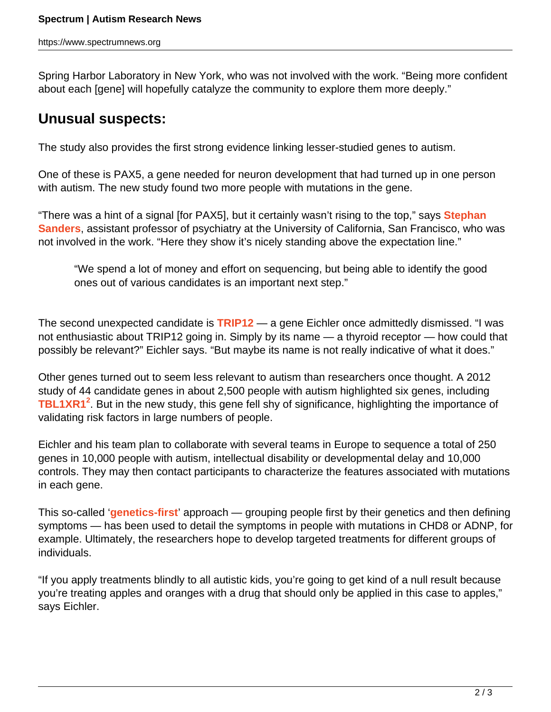Spring Harbor Laboratory in New York, who was not involved with the work. "Being more confident about each [gene] will hopefully catalyze the community to explore them more deeply."

## **Unusual suspects:**

The study also provides the first strong evidence linking lesser-studied genes to autism.

One of these is PAX5, a gene needed for neuron development that had turned up in one person with autism. The new study found two more people with mutations in the gene.

"There was a hint of a signal [for PAX5], but it certainly wasn't rising to the top," says **[Stephan](https://www.spectrumnews.org/investigator-profiles/2014/rising-star-stephan-sanders-accidental-geneticist) [Sanders](https://www.spectrumnews.org/investigator-profiles/2014/rising-star-stephan-sanders-accidental-geneticist)**, assistant professor of psychiatry at the University of California, San Francisco, who was not involved in the work. "Here they show it's nicely standing above the expectation line."

"We spend a lot of money and effort on sequencing, but being able to identify the good ones out of various candidates is an important next step."

The second unexpected candidate is **[TRIP12](http://gene.sfari.org/GeneDetail/TRIP12#HG)** — a gene Eichler once admittedly dismissed. "I was not enthusiastic about TRIP12 going in. Simply by its name — a thyroid receptor — how could that possibly be relevant?" Eichler says. "But maybe its name is not really indicative of what it does."

Other genes turned out to seem less relevant to autism than researchers once thought. A 2012 study of 44 candidate genes in about 2,500 people with autism highlighted six genes, including **[TBL1XR1](https://gene.sfari.org/GeneDetail/TBL1XR1)<sup>2</sup>** . But in the new study, this gene fell shy of significance, highlighting the importance of validating risk factors in large numbers of people.

Eichler and his team plan to collaborate with several teams in Europe to sequence a total of 250 genes in 10,000 people with autism, intellectual disability or developmental delay and 10,000 controls. They may then contact participants to characterize the features associated with mutations in each gene.

This so-called '**[genetics-first](https://www.spectrumnews.org/news/2014/genetics-first-a-fresh-take-on-autisms-diversity)**' approach — grouping people first by their genetics and then defining symptoms — has been used to detail the symptoms in people with mutations in CHD8 or ADNP, for example. Ultimately, the researchers hope to develop targeted treatments for different groups of individuals.

"If you apply treatments blindly to all autistic kids, you're going to get kind of a null result because you're treating apples and oranges with a drug that should only be applied in this case to apples," says Eichler.